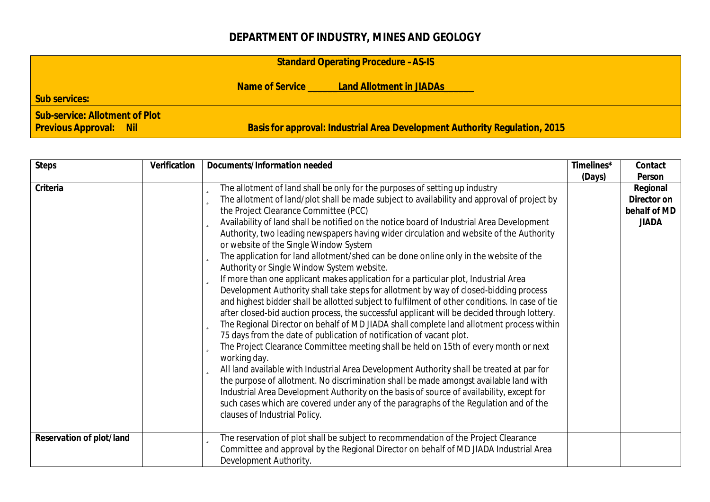## **DEPARTMENT OF INDUSTRY, MINES AND GEOLOGY**

| <b>Standard Operating Procedure -AS-IS</b>                      |                                                                            |  |  |
|-----------------------------------------------------------------|----------------------------------------------------------------------------|--|--|
|                                                                 | <b>Land Allotment in JIADAs</b><br>Name of Service                         |  |  |
| Sub services:                                                   |                                                                            |  |  |
| Sub-service: Allotment of Plot<br><b>Previous Approval: Nil</b> | Basis for approval: Industrial Area Development Authority Regulation, 2015 |  |  |

| Steps                    | Verification | Documents/Information needed                                                                                                                                                                                                                                                                                                                                                                                                                                                                                                                                                                                                                                                                                                                                                                                                                                                                                                                                                                                                                                                                                                                                                                                                                                                                                                                                                                                                                                                                                                                                                                                                                                                                             | Timelines* | Contact                                                 |
|--------------------------|--------------|----------------------------------------------------------------------------------------------------------------------------------------------------------------------------------------------------------------------------------------------------------------------------------------------------------------------------------------------------------------------------------------------------------------------------------------------------------------------------------------------------------------------------------------------------------------------------------------------------------------------------------------------------------------------------------------------------------------------------------------------------------------------------------------------------------------------------------------------------------------------------------------------------------------------------------------------------------------------------------------------------------------------------------------------------------------------------------------------------------------------------------------------------------------------------------------------------------------------------------------------------------------------------------------------------------------------------------------------------------------------------------------------------------------------------------------------------------------------------------------------------------------------------------------------------------------------------------------------------------------------------------------------------------------------------------------------------------|------------|---------------------------------------------------------|
|                          |              |                                                                                                                                                                                                                                                                                                                                                                                                                                                                                                                                                                                                                                                                                                                                                                                                                                                                                                                                                                                                                                                                                                                                                                                                                                                                                                                                                                                                                                                                                                                                                                                                                                                                                                          | (Days)     | Person                                                  |
| Criteria                 |              | The allotment of land shall be only for the purposes of setting up industry<br>ü<br>The allotment of land/plot shall be made subject to availability and approval of project by<br>Ü<br>the Project Clearance Committee (PCC)<br>Availability of land shall be notified on the notice board of Industrial Area Development<br>ü<br>Authority, two leading newspapers having wider circulation and website of the Authority<br>or website of the Single Window System<br>The application for land allotment/shed can be done online only in the website of the<br>Ü<br>Authority or Single Window System website.<br>If more than one applicant makes application for a particular plot, Industrial Area<br>ü<br>Development Authority shall take steps for allotment by way of closed-bidding process<br>and highest bidder shall be allotted subject to fulfilment of other conditions. In case of tie<br>after closed-bid auction process, the successful applicant will be decided through lottery.<br>The Regional Director on behalf of MD JIADA shall complete land allotment process within<br>75 days from the date of publication of notification of vacant plot.<br>The Project Clearance Committee meeting shall be held on 15th of every month or next<br>ü<br>working day.<br>All land available with Industrial Area Development Authority shall be treated at par for<br>ü<br>the purpose of allotment. No discrimination shall be made amongst available land with<br>Industrial Area Development Authority on the basis of source of availability, except for<br>such cases which are covered under any of the paragraphs of the Regulation and of the<br>clauses of Industrial Policy. |            | Regional<br>Director on<br>behalf of MD<br><b>JIADA</b> |
| Reservation of plot/land |              | The reservation of plot shall be subject to recommendation of the Project Clearance<br>ü<br>Committee and approval by the Regional Director on behalf of MD JIADA Industrial Area<br>Development Authority.                                                                                                                                                                                                                                                                                                                                                                                                                                                                                                                                                                                                                                                                                                                                                                                                                                                                                                                                                                                                                                                                                                                                                                                                                                                                                                                                                                                                                                                                                              |            |                                                         |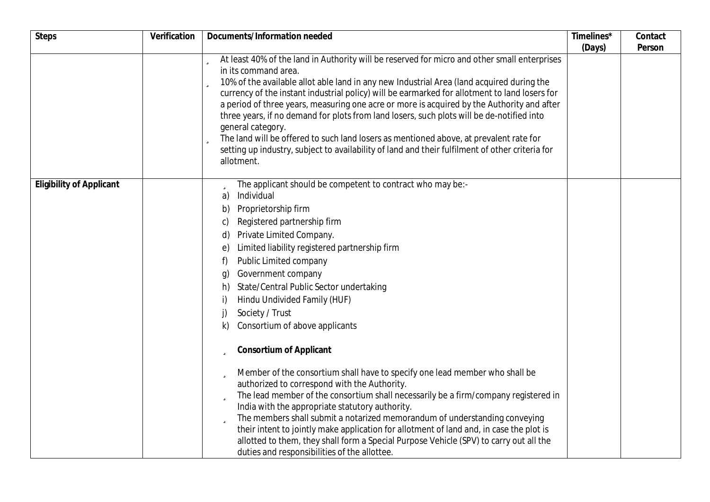| <b>Steps</b>                    | Verification | Documents/Information needed                                                                                                                                                            | Timelines* | Contact |
|---------------------------------|--------------|-----------------------------------------------------------------------------------------------------------------------------------------------------------------------------------------|------------|---------|
|                                 |              |                                                                                                                                                                                         | (Days)     | Person  |
|                                 |              | U At least 40% of the land in Authority will be reserved for micro and other small enterprises                                                                                          |            |         |
|                                 |              | in its command area.                                                                                                                                                                    |            |         |
|                                 |              | 10% of the available allot able land in any new Industrial Area (land acquired during the<br>ü                                                                                          |            |         |
|                                 |              | currency of the instant industrial policy) will be earmarked for allotment to land losers for                                                                                           |            |         |
|                                 |              | a period of three years, measuring one acre or more is acquired by the Authority and after<br>three years, if no demand for plots from land losers, such plots will be de-notified into |            |         |
|                                 |              | general category.                                                                                                                                                                       |            |         |
|                                 |              | The land will be offered to such land losers as mentioned above, at prevalent rate for<br>ü                                                                                             |            |         |
|                                 |              | setting up industry, subject to availability of land and their fulfilment of other criteria for                                                                                         |            |         |
|                                 |              | allotment.                                                                                                                                                                              |            |         |
|                                 |              |                                                                                                                                                                                         |            |         |
| <b>Eligibility of Applicant</b> |              | The applicant should be competent to contract who may be:-<br>ū                                                                                                                         |            |         |
|                                 |              | Individual<br>a)                                                                                                                                                                        |            |         |
|                                 |              | Proprietorship firm<br>b)                                                                                                                                                               |            |         |
|                                 |              | Registered partnership firm<br>C)                                                                                                                                                       |            |         |
|                                 |              | Private Limited Company.<br>d)                                                                                                                                                          |            |         |
|                                 |              | Limited liability registered partnership firm<br>e)                                                                                                                                     |            |         |
|                                 |              | Public Limited company<br>f)                                                                                                                                                            |            |         |
|                                 |              | Government company<br>g)                                                                                                                                                                |            |         |
|                                 |              | State/Central Public Sector undertaking<br>h)                                                                                                                                           |            |         |
|                                 |              | Hindu Undivided Family (HUF)                                                                                                                                                            |            |         |
|                                 |              | Society / Trust<br>j)                                                                                                                                                                   |            |         |
|                                 |              | Consortium of above applicants                                                                                                                                                          |            |         |
|                                 |              | <b>Consortium of Applicant</b><br>ü                                                                                                                                                     |            |         |
|                                 |              | Member of the consortium shall have to specify one lead member who shall be<br>ü                                                                                                        |            |         |
|                                 |              | authorized to correspond with the Authority.                                                                                                                                            |            |         |
|                                 |              | The lead member of the consortium shall necessarily be a firm/company registered in<br>Ü.                                                                                               |            |         |
|                                 |              | India with the appropriate statutory authority.                                                                                                                                         |            |         |
|                                 |              | The members shall submit a notarized memorandum of understanding conveying<br>Ü<br>their intent to jointly make application for allotment of land and, in case the plot is              |            |         |
|                                 |              | allotted to them, they shall form a Special Purpose Vehicle (SPV) to carry out all the                                                                                                  |            |         |
|                                 |              | duties and responsibilities of the allottee.                                                                                                                                            |            |         |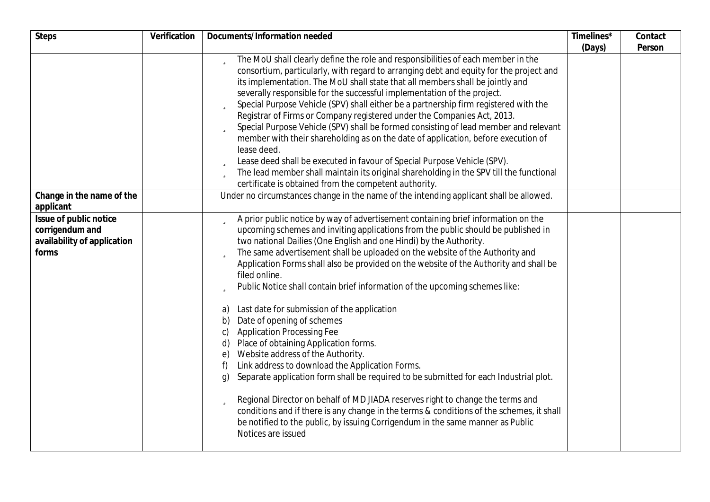| <b>Steps</b>                | Verification | Documents/Information needed                                                                                                                                                                                                                                                            | Timelines* | Contact |
|-----------------------------|--------------|-----------------------------------------------------------------------------------------------------------------------------------------------------------------------------------------------------------------------------------------------------------------------------------------|------------|---------|
|                             |              |                                                                                                                                                                                                                                                                                         | (Days)     | Person  |
|                             |              | Ü The MoU shall clearly define the role and responsibilities of each member in the                                                                                                                                                                                                      |            |         |
|                             |              | consortium, particularly, with regard to arranging debt and equity for the project and                                                                                                                                                                                                  |            |         |
|                             |              | its implementation. The MoU shall state that all members shall be jointly and<br>severally responsible for the successful implementation of the project.                                                                                                                                |            |         |
|                             |              | Special Purpose Vehicle (SPV) shall either be a partnership firm registered with the<br>ü                                                                                                                                                                                               |            |         |
|                             |              | Registrar of Firms or Company registered under the Companies Act, 2013.                                                                                                                                                                                                                 |            |         |
|                             |              | Special Purpose Vehicle (SPV) shall be formed consisting of lead member and relevant<br>ü                                                                                                                                                                                               |            |         |
|                             |              | member with their shareholding as on the date of application, before execution of<br>lease deed.                                                                                                                                                                                        |            |         |
|                             |              | Lease deed shall be executed in favour of Special Purpose Vehicle (SPV).<br>ü                                                                                                                                                                                                           |            |         |
|                             |              | The lead member shall maintain its original shareholding in the SPV till the functional<br>ū                                                                                                                                                                                            |            |         |
|                             |              | certificate is obtained from the competent authority.                                                                                                                                                                                                                                   |            |         |
| Change in the name of the   |              | Under no circumstances change in the name of the intending applicant shall be allowed.                                                                                                                                                                                                  |            |         |
| applicant                   |              |                                                                                                                                                                                                                                                                                         |            |         |
| Issue of public notice      |              | A prior public notice by way of advertisement containing brief information on the<br>ü                                                                                                                                                                                                  |            |         |
| corrigendum and             |              | upcoming schemes and inviting applications from the public should be published in                                                                                                                                                                                                       |            |         |
| availability of application |              | two national Dailies (One English and one Hindi) by the Authority.                                                                                                                                                                                                                      |            |         |
| forms                       |              | The same advertisement shall be uploaded on the website of the Authority and<br>ü<br>Application Forms shall also be provided on the website of the Authority and shall be                                                                                                              |            |         |
|                             |              | filed online.                                                                                                                                                                                                                                                                           |            |         |
|                             |              | Public Notice shall contain brief information of the upcoming schemes like:<br>ü                                                                                                                                                                                                        |            |         |
|                             |              |                                                                                                                                                                                                                                                                                         |            |         |
|                             |              | Last date for submission of the application<br>a)<br>Date of opening of schemes                                                                                                                                                                                                         |            |         |
|                             |              | b)<br><b>Application Processing Fee</b><br>$\mathsf{C}$                                                                                                                                                                                                                                 |            |         |
|                             |              | Place of obtaining Application forms.<br>d)                                                                                                                                                                                                                                             |            |         |
|                             |              | Website address of the Authority.<br>e)                                                                                                                                                                                                                                                 |            |         |
|                             |              | Link address to download the Application Forms.<br>f)                                                                                                                                                                                                                                   |            |         |
|                             |              | Separate application form shall be required to be submitted for each Industrial plot.<br>$\mathfrak{g}$                                                                                                                                                                                 |            |         |
|                             |              | Regional Director on behalf of MD JIADA reserves right to change the terms and<br>ü<br>conditions and if there is any change in the terms & conditions of the schemes, it shall<br>be notified to the public, by issuing Corrigendum in the same manner as Public<br>Notices are issued |            |         |
|                             |              |                                                                                                                                                                                                                                                                                         |            |         |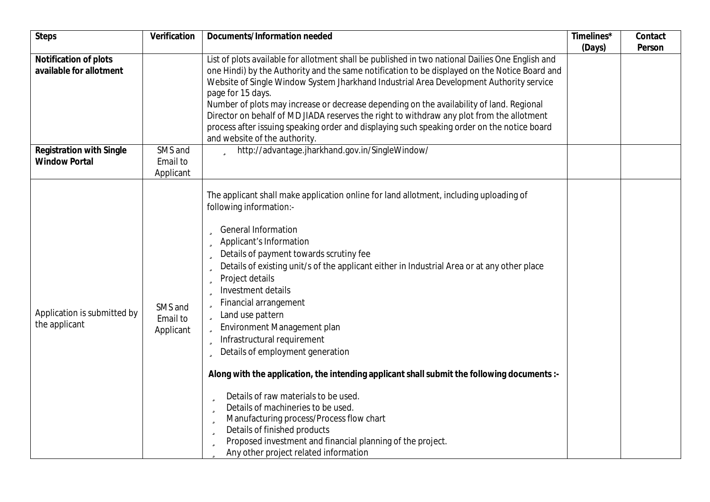| <b>Steps</b>                | Verification          | Documents/Information needed                                                                     | Timelines* | Contact |
|-----------------------------|-----------------------|--------------------------------------------------------------------------------------------------|------------|---------|
|                             |                       |                                                                                                  | (Days)     | Person  |
| Notification of plots       |                       | List of plots available for allotment shall be published in two national Dailies One English and |            |         |
| available for allotment     |                       | one Hindi) by the Authority and the same notification to be displayed on the Notice Board and    |            |         |
|                             |                       | Website of Single Window System Jharkhand Industrial Area Development Authority service          |            |         |
|                             |                       | page for 15 days.                                                                                |            |         |
|                             |                       | Number of plots may increase or decrease depending on the availability of land. Regional         |            |         |
|                             |                       | Director on behalf of MD JIADA reserves the right to withdraw any plot from the allotment        |            |         |
|                             |                       | process after issuing speaking order and displaying such speaking order on the notice board      |            |         |
|                             |                       | and website of the authority.                                                                    |            |         |
| Registration with Single    | SMS and               | ü http://advantage.jharkhand.gov.in/SingleWindow/                                                |            |         |
| <b>Window Portal</b>        | Email to              |                                                                                                  |            |         |
|                             | Applicant             |                                                                                                  |            |         |
|                             |                       |                                                                                                  |            |         |
|                             |                       | The applicant shall make application online for land allotment, including uploading of           |            |         |
|                             |                       | following information:-                                                                          |            |         |
|                             |                       | <b>ü</b> General Information                                                                     |            |         |
|                             |                       | ü Applicant's Information                                                                        |            |         |
|                             |                       |                                                                                                  |            |         |
|                             |                       | Ü Details of payment towards scrutiny fee                                                        |            |         |
|                             |                       | Ü Details of existing unit/s of the applicant either in Industrial Area or at any other place    |            |         |
|                             |                       | ü Project details                                                                                |            |         |
|                             |                       | ü Investment details                                                                             |            |         |
|                             | SMS and               | ü Financial arrangement                                                                          |            |         |
| Application is submitted by | Email to<br>Applicant | ü Land use pattern                                                                               |            |         |
| the applicant               |                       | Ü Environment Management plan                                                                    |            |         |
|                             |                       | ü Infrastructural requirement                                                                    |            |         |
|                             |                       | Ü Details of employment generation                                                               |            |         |
|                             |                       |                                                                                                  |            |         |
|                             |                       | Along with the application, the intending applicant shall submit the following documents :-      |            |         |
|                             |                       | Details of raw materials to be used.<br>ü                                                        |            |         |
|                             |                       | Details of machineries to be used.<br>ü                                                          |            |         |
|                             |                       | Manufacturing process/Process flow chart<br>ü                                                    |            |         |
|                             |                       | Details of finished products<br>ü                                                                |            |         |
|                             |                       | Proposed investment and financial planning of the project.<br>ü                                  |            |         |
|                             |                       | Any other project related information<br>ü                                                       |            |         |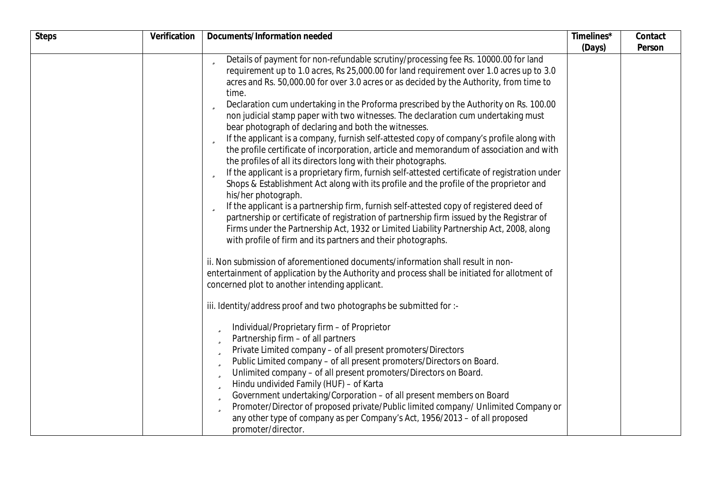| Steps | Verification | Documents/Information needed                                                                                                                                                                                                                                                                                                                                                                                                                                                                                                                                                                                                                         | Timelines* | Contact |
|-------|--------------|------------------------------------------------------------------------------------------------------------------------------------------------------------------------------------------------------------------------------------------------------------------------------------------------------------------------------------------------------------------------------------------------------------------------------------------------------------------------------------------------------------------------------------------------------------------------------------------------------------------------------------------------------|------------|---------|
|       |              |                                                                                                                                                                                                                                                                                                                                                                                                                                                                                                                                                                                                                                                      | (Days)     | Person  |
|       |              | Details of payment for non-refundable scrutiny/processing fee Rs. 10000.00 for land<br>ü                                                                                                                                                                                                                                                                                                                                                                                                                                                                                                                                                             |            |         |
|       |              | requirement up to 1.0 acres, Rs 25,000.00 for land requirement over 1.0 acres up to 3.0                                                                                                                                                                                                                                                                                                                                                                                                                                                                                                                                                              |            |         |
|       |              | acres and Rs. 50,000.00 for over 3.0 acres or as decided by the Authority, from time to<br>time.                                                                                                                                                                                                                                                                                                                                                                                                                                                                                                                                                     |            |         |
|       |              | Declaration cum undertaking in the Proforma prescribed by the Authority on Rs. 100.00<br>ü<br>non judicial stamp paper with two witnesses. The declaration cum undertaking must<br>bear photograph of declaring and both the witnesses.                                                                                                                                                                                                                                                                                                                                                                                                              |            |         |
|       |              | If the applicant is a company, furnish self-attested copy of company's profile along with<br>ü<br>the profile certificate of incorporation, article and memorandum of association and with<br>the profiles of all its directors long with their photographs.                                                                                                                                                                                                                                                                                                                                                                                         |            |         |
|       |              | If the applicant is a proprietary firm, furnish self-attested certificate of registration under<br>Shops & Establishment Act along with its profile and the profile of the proprietor and<br>his/her photograph.                                                                                                                                                                                                                                                                                                                                                                                                                                     |            |         |
|       |              | If the applicant is a partnership firm, furnish self-attested copy of registered deed of<br>ü<br>partnership or certificate of registration of partnership firm issued by the Registrar of<br>Firms under the Partnership Act, 1932 or Limited Liability Partnership Act, 2008, along<br>with profile of firm and its partners and their photographs.                                                                                                                                                                                                                                                                                                |            |         |
|       |              | ii. Non submission of aforementioned documents/information shall result in non-<br>entertainment of application by the Authority and process shall be initiated for allotment of<br>concerned plot to another intending applicant.                                                                                                                                                                                                                                                                                                                                                                                                                   |            |         |
|       |              | iii. Identity/address proof and two photographs be submitted for :-                                                                                                                                                                                                                                                                                                                                                                                                                                                                                                                                                                                  |            |         |
|       |              | Individual/Proprietary firm - of Proprietor<br>ü<br>Partnership firm - of all partners<br>ü<br>Private Limited company - of all present promoters/Directors<br>ü<br>Public Limited company - of all present promoters/Directors on Board.<br>ü<br>Unlimited company - of all present promoters/Directors on Board.<br>ü<br>Hindu undivided Family (HUF) - of Karta<br>ü<br>Government undertaking/Corporation - of all present members on Board<br>ü<br>Promoter/Director of proposed private/Public limited company/ Unlimited Company or<br>ü<br>any other type of company as per Company's Act, 1956/2013 – of all proposed<br>promoter/director. |            |         |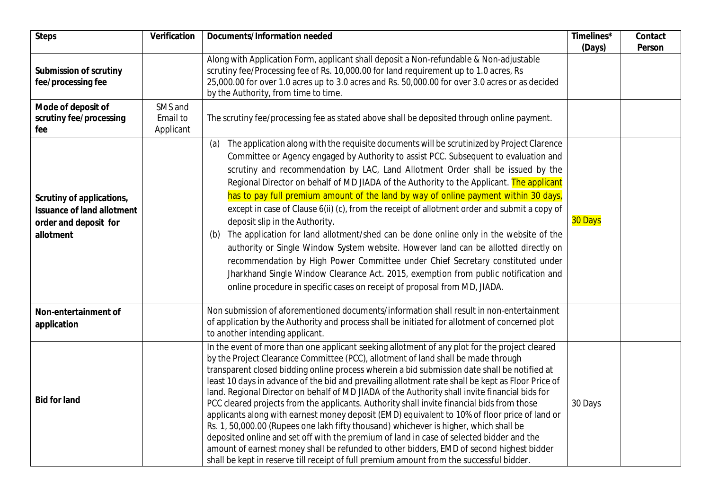| <b>Steps</b>                                                                                  | Verification                     | Documents/Information needed                                                                                                                                                                                                                                                                                                                                                                                                                                                                                                                                                                                                                                                                                                                                                                                                                                                                                                                                                                                                                                          | Timelines*<br>(Days) | Contact<br>Person |
|-----------------------------------------------------------------------------------------------|----------------------------------|-----------------------------------------------------------------------------------------------------------------------------------------------------------------------------------------------------------------------------------------------------------------------------------------------------------------------------------------------------------------------------------------------------------------------------------------------------------------------------------------------------------------------------------------------------------------------------------------------------------------------------------------------------------------------------------------------------------------------------------------------------------------------------------------------------------------------------------------------------------------------------------------------------------------------------------------------------------------------------------------------------------------------------------------------------------------------|----------------------|-------------------|
| Submission of scrutiny<br>fee/processing fee                                                  |                                  | Along with Application Form, applicant shall deposit a Non-refundable & Non-adjustable<br>scrutiny fee/Processing fee of Rs. 10,000.00 for land requirement up to 1.0 acres, Rs<br>25,000.00 for over 1.0 acres up to 3.0 acres and Rs. 50,000.00 for over 3.0 acres or as decided<br>by the Authority, from time to time.                                                                                                                                                                                                                                                                                                                                                                                                                                                                                                                                                                                                                                                                                                                                            |                      |                   |
| Mode of deposit of<br>scrutiny fee/processing<br>fee                                          | SMS and<br>Email to<br>Applicant | The scrutiny fee/processing fee as stated above shall be deposited through online payment.                                                                                                                                                                                                                                                                                                                                                                                                                                                                                                                                                                                                                                                                                                                                                                                                                                                                                                                                                                            |                      |                   |
| Scrutiny of applications,<br>Issuance of land allotment<br>order and deposit for<br>allotment |                                  | The application along with the requisite documents will be scrutinized by Project Clarence<br>(a)<br>Committee or Agency engaged by Authority to assist PCC. Subsequent to evaluation and<br>scrutiny and recommendation by LAC, Land Allotment Order shall be issued by the<br>Regional Director on behalf of MD JIADA of the Authority to the Applicant. The applicant<br>has to pay full premium amount of the land by way of online payment within 30 days,<br>except in case of Clause 6(ii) (c), from the receipt of allotment order and submit a copy of<br>deposit slip in the Authority.<br>The application for land allotment/shed can be done online only in the website of the<br>(b)<br>authority or Single Window System website. However land can be allotted directly on<br>recommendation by High Power Committee under Chief Secretary constituted under<br>Jharkhand Single Window Clearance Act. 2015, exemption from public notification and<br>online procedure in specific cases on receipt of proposal from MD, JIADA.                        | 30 Days              |                   |
| Non-entertainment of<br>application                                                           |                                  | Non submission of aforementioned documents/information shall result in non-entertainment<br>of application by the Authority and process shall be initiated for allotment of concerned plot<br>to another intending applicant.                                                                                                                                                                                                                                                                                                                                                                                                                                                                                                                                                                                                                                                                                                                                                                                                                                         |                      |                   |
| <b>Bid for land</b>                                                                           |                                  | In the event of more than one applicant seeking allotment of any plot for the project cleared<br>by the Project Clearance Committee (PCC), allotment of land shall be made through<br>transparent closed bidding online process wherein a bid submission date shall be notified at<br>least 10 days in advance of the bid and prevailing allotment rate shall be kept as Floor Price of<br>land. Regional Director on behalf of MD JIADA of the Authority shall invite financial bids for<br>PCC cleared projects from the applicants. Authority shall invite financial bids from those<br>applicants along with earnest money deposit (EMD) equivalent to 10% of floor price of land or<br>Rs. 1, 50,000.00 (Rupees one lakh fifty thousand) whichever is higher, which shall be<br>deposited online and set off with the premium of land in case of selected bidder and the<br>amount of earnest money shall be refunded to other bidders, EMD of second highest bidder<br>shall be kept in reserve till receipt of full premium amount from the successful bidder. | 30 Days              |                   |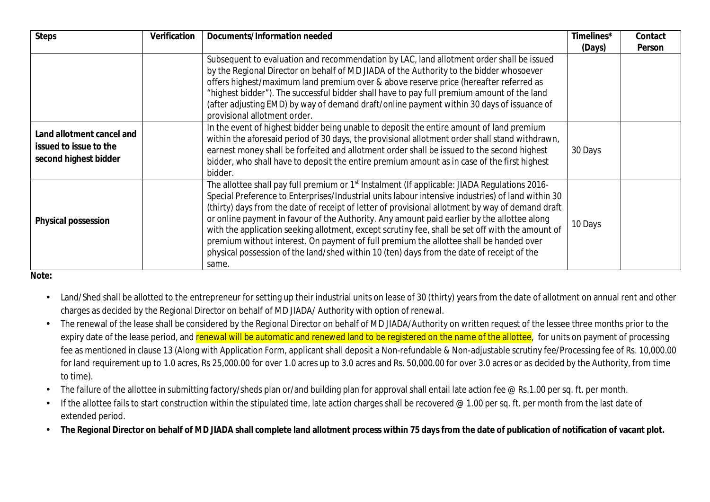| Steps                                                                        | Verification | Documents/Information needed                                                                                                                                                                                                                                                                                                                                                                                                                                                                                                                                                                                                                                                                                          | Timelines*<br>(Days) | Contact<br>Person |
|------------------------------------------------------------------------------|--------------|-----------------------------------------------------------------------------------------------------------------------------------------------------------------------------------------------------------------------------------------------------------------------------------------------------------------------------------------------------------------------------------------------------------------------------------------------------------------------------------------------------------------------------------------------------------------------------------------------------------------------------------------------------------------------------------------------------------------------|----------------------|-------------------|
|                                                                              |              | Subsequent to evaluation and recommendation by LAC, land allotment order shall be issued<br>by the Regional Director on behalf of MD JIADA of the Authority to the bidder whosoever<br>offers highest/maximum land premium over & above reserve price (hereafter referred as<br>"highest bidder"). The successful bidder shall have to pay full premium amount of the land<br>(after adjusting EMD) by way of demand draft/online payment within 30 days of issuance of<br>provisional allotment order.                                                                                                                                                                                                               |                      |                   |
| Land allotment cancel and<br>issued to issue to the<br>second highest bidder |              | In the event of highest bidder being unable to deposit the entire amount of land premium<br>within the aforesaid period of 30 days, the provisional allotment order shall stand withdrawn,<br>earnest money shall be forfeited and allotment order shall be issued to the second highest<br>bidder, who shall have to deposit the entire premium amount as in case of the first highest<br>bidder.                                                                                                                                                                                                                                                                                                                    | 30 Days              |                   |
| Physical possession                                                          |              | The allottee shall pay full premium or 1 <sup>st</sup> Instalment (If applicable: JIADA Regulations 2016-<br>Special Preference to Enterprises/Industrial units labour intensive industries) of land within 30<br>(thirty) days from the date of receipt of letter of provisional allotment by way of demand draft<br>or online payment in favour of the Authority. Any amount paid earlier by the allottee along<br>with the application seeking allotment, except scrutiny fee, shall be set off with the amount of<br>premium without interest. On payment of full premium the allottee shall be handed over<br>physical possession of the land/shed within 10 (ten) days from the date of receipt of the<br>same. | 10 Days              |                   |

**Note:**

- Land/Shed shall be allotted to the entrepreneur for setting up their industrial units on lease of 30 (thirty) years from the date of allotment on annual rent and other charges as decided by the Regional Director on behalf of MD JIADA/ Authority with option of renewal.
- The renewal of the lease shall be considered by the Regional Director on behalf of MD JIADA/Authority on written request of the lessee three months prior to the expiry date of the lease period, and renewal will be automatic and renewed land to be registered on the name of the allottee, for units on payment of processing fee as mentioned in clause 13 (Along with Application Form, applicant shall deposit a Non-refundable & Non-adjustable scrutiny fee/Processing fee of Rs. 10,000.00 for land requirement up to 1.0 acres, Rs 25,000.00 for over 1.0 acres up to 3.0 acres and Rs. 50,000.00 for over 3.0 acres or as decided by the Authority, from time to time).
- The failure of the allottee in submitting factory/sheds plan or/and building plan for approval shall entail late action fee @ Rs.1.00 per sq. ft. per month.
- If the allottee fails to start construction within the stipulated time, late action charges shall be recovered @ 1.00 per sq. ft. per month from the last date of extended period.
- **The Regional Director on behalf of MD JIADA shall complete land allotment process within 75 days from the date of publication of notification of vacant plot.**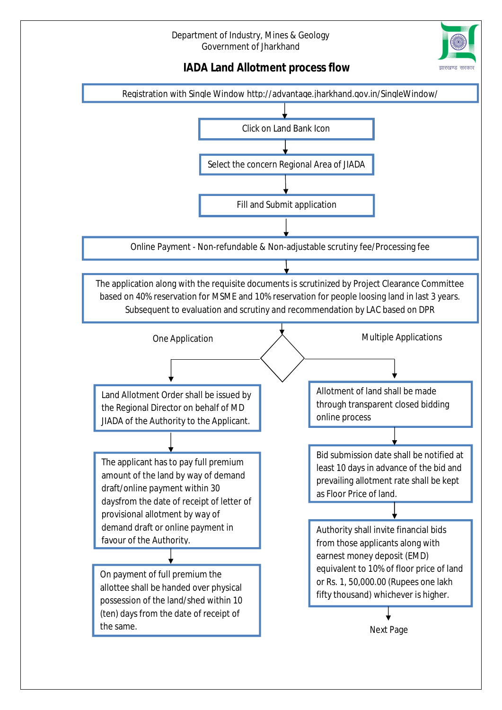## Department of Industry, Mines & Geology Government of Jharkhand

**IADA Land Allotment process flow**

झारखण्ड सरकार